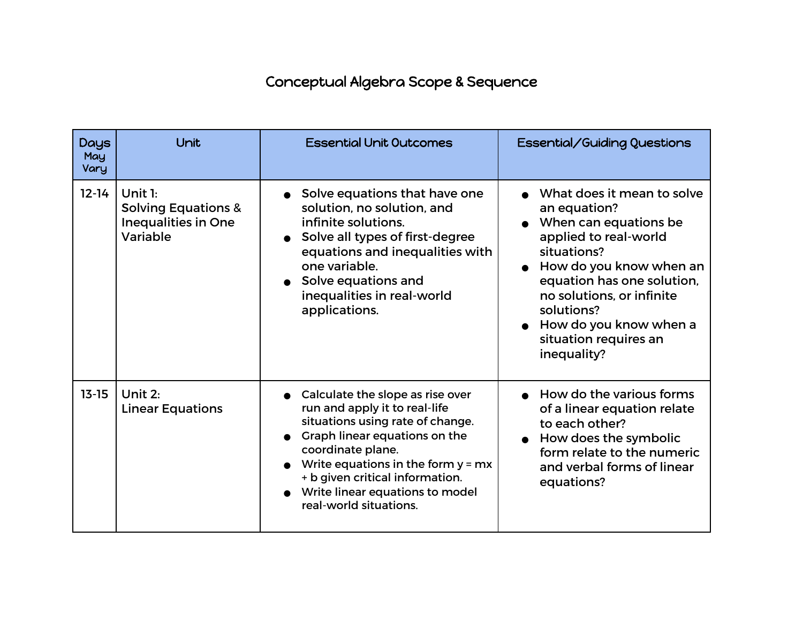## Conceptual Algebra Scope & Sequence

| <b>Days</b><br>May<br>Vary | Unit                                                                                  | <b>Essential Unit Outcomes</b>                                                                                                                                                                                                                                                                          | Essential/Guiding Questions                                                                                                                                                                                                                                                                 |
|----------------------------|---------------------------------------------------------------------------------------|---------------------------------------------------------------------------------------------------------------------------------------------------------------------------------------------------------------------------------------------------------------------------------------------------------|---------------------------------------------------------------------------------------------------------------------------------------------------------------------------------------------------------------------------------------------------------------------------------------------|
| $12 - 14$                  | Unit $1:$<br><b>Solving Equations &amp;</b><br><b>Inequalities in One</b><br>Variable | Solve equations that have one<br>solution, no solution, and<br>infinite solutions.<br>Solve all types of first-degree<br>equations and inequalities with<br>one variable.<br>• Solve equations and<br>inequalities in real-world<br>applications.                                                       | What does it mean to solve<br>an equation?<br>When can equations be<br>applied to real-world<br>situations?<br>How do you know when an<br>equation has one solution,<br>no solutions, or infinite<br>solutions?<br>$\bullet$ How do you know when a<br>situation requires an<br>inequality? |
| $13 - 15$                  | Unit 2:<br><b>Linear Equations</b>                                                    | • Calculate the slope as rise over<br>run and apply it to real-life<br>situations using rate of change.<br>Graph linear equations on the<br>coordinate plane.<br>Write equations in the form $y = mx$<br>+ b given critical information.<br>• Write linear equations to model<br>real-world situations. | • How do the various forms<br>of a linear equation relate<br>to each other?<br>How does the symbolic<br>$\bullet$<br>form relate to the numeric<br>and verbal forms of linear<br>equations?                                                                                                 |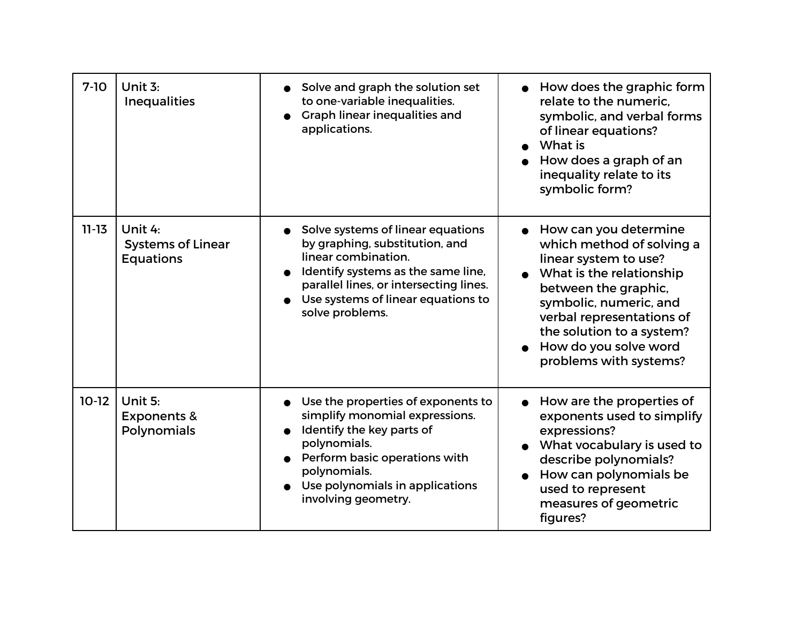| $7-10$    | Unit 3:<br><b>Inequalities</b>                          | Solve and graph the solution set<br>to one-variable inequalities.<br>Graph linear inequalities and<br>applications.                                                                                                                 | How does the graphic form<br>relate to the numeric.<br>symbolic, and verbal forms<br>of linear equations?<br>What is<br>How does a graph of an<br>inequality relate to its<br>symbolic form?                                                                             |
|-----------|---------------------------------------------------------|-------------------------------------------------------------------------------------------------------------------------------------------------------------------------------------------------------------------------------------|--------------------------------------------------------------------------------------------------------------------------------------------------------------------------------------------------------------------------------------------------------------------------|
| $11 - 13$ | Unit 4:<br><b>Systems of Linear</b><br><b>Equations</b> | Solve systems of linear equations<br>by graphing, substitution, and<br>linear combination.<br>Identify systems as the same line,<br>parallel lines, or intersecting lines.<br>Use systems of linear equations to<br>solve problems. | • How can you determine<br>which method of solving a<br>linear system to use?<br>What is the relationship<br>between the graphic,<br>symbolic, numeric, and<br>verbal representations of<br>the solution to a system?<br>How do you solve word<br>problems with systems? |
| $10-12$   | Unit 5:<br><b>Exponents &amp;</b><br>Polynomials        | Use the properties of exponents to<br>simplify monomial expressions.<br>Identify the key parts of<br>polynomials.<br>Perform basic operations with<br>polynomials.<br>Use polynomials in applications<br>involving geometry.        | How are the properties of<br>exponents used to simplify<br>expressions?<br>What vocabulary is used to<br>describe polynomials?<br>How can polynomials be<br>used to represent<br>measures of geometric<br>figures?                                                       |